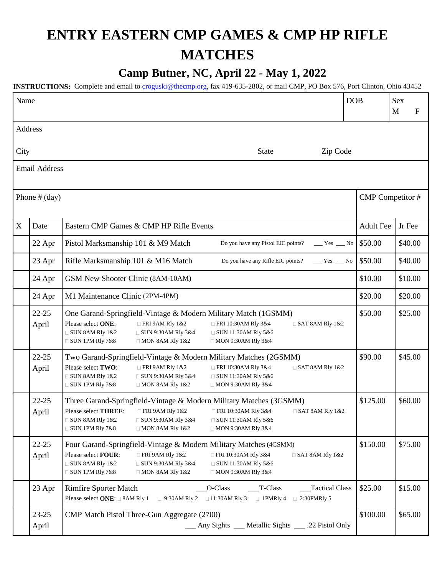## **ENTRY EASTERN CMP GAMES & CMP HP RIFLE MATCHES**

## **Camp Butner, NC, April 22 - May 1, 2022**

**INSTRUCTIONS:** Complete and email to [croguski@thecmp.org,](mailto:croguski@thecmp.org) fax 419-635-2802, or mail CMP, PO Box 576, Port Clinton, Ohio 43452

| Name                             |                      |                                                                                                                                                                                                                                                                                                                                                    | <b>DOB</b>       | <b>Sex</b><br>M<br>F |
|----------------------------------|----------------------|----------------------------------------------------------------------------------------------------------------------------------------------------------------------------------------------------------------------------------------------------------------------------------------------------------------------------------------------------|------------------|----------------------|
|                                  | Address              |                                                                                                                                                                                                                                                                                                                                                    |                  |                      |
| Zip Code<br>City<br><b>State</b> |                      |                                                                                                                                                                                                                                                                                                                                                    |                  |                      |
|                                  | <b>Email Address</b> |                                                                                                                                                                                                                                                                                                                                                    |                  |                      |
|                                  |                      |                                                                                                                                                                                                                                                                                                                                                    |                  |                      |
| Phone $#$ (day)                  |                      | CMP Competitor #                                                                                                                                                                                                                                                                                                                                   |                  |                      |
| $\mathbf X$                      | Date                 | Eastern CMP Games & CMP HP Rifle Events                                                                                                                                                                                                                                                                                                            | <b>Adult Fee</b> | Jr Fee               |
|                                  | 22 Apr               | Pistol Marksmanship 101 & M9 Match<br>Do you have any Pistol EIC points?<br>$Yes$ No                                                                                                                                                                                                                                                               | \$50.00          | \$40.00              |
|                                  | 23 Apr               | Rifle Marksmanship 101 & M16 Match<br>Do you have any Rifle EIC points?<br>$Yes$ No                                                                                                                                                                                                                                                                | \$50.00          | \$40.00              |
|                                  | 24 Apr               | GSM New Shooter Clinic (8AM-10AM)                                                                                                                                                                                                                                                                                                                  | \$10.00          | \$10.00              |
|                                  | 24 Apr               | M1 Maintenance Clinic (2PM-4PM)                                                                                                                                                                                                                                                                                                                    | \$20.00          | \$20.00              |
|                                  | $22 - 25$<br>April   | One Garand-Springfield-Vintage & Modern Military Match (1GSMM)<br>Please select ONE:<br>$\Box$ FRI 9AM Rly 1&2<br>□ FRI 10:30AM Rly 3&4<br>$\Box$ SAT 8AM RIy 1&2<br>$\Box$ SUN 8AM Rly 1&2<br>$\Box$ SUN 9:30AM RIy 3&4<br>□ SUN 11:30AM Rly 5&6<br>$\Box$ SUN 1PM Rly 7&8<br>$\Box$ MON 8AM Rly 1&2<br>$\Box$ MON 9:30AM RIy 3&4                 | \$50.00          | \$25.00              |
|                                  | $22 - 25$<br>April   | Two Garand-Springfield-Vintage & Modern Military Matches (2GSMM)<br>Please select TWO:<br>$\Box$ FRI 9AM Rly 1&2<br>□ FRI 10:30AM Rly 3&4<br>$\Box$ SAT 8AM RIy 1&2<br>$\Box$ SUN 8AM Rly 1&2<br>$\Box$ SUN 9:30AM RIy 3&4<br>□ SUN 11:30AM Rly 5&6<br>$\Box$ SUN 1PM Rly 7&8<br>$\Box$ MON 8AM Rly 1&2<br>$\Box$ MON 9:30AM RIy 3&4               | \$90.00          | \$45.00              |
|                                  | $22 - 25$<br>April   | Three Garand-Springfield-Vintage & Modern Military Matches (3GSMM)<br>Please select THREE:<br>$\Box$ FRI 9AM RIy 1&2<br>$\Box$ FRI 10:30AM RIy 3&4<br>$\Box$ SAT 8AM RIy 1&2<br>$\Box$ SUN 8AM Rly 1&2<br>$\Box$ SUN 9:30AM RIy 3&4<br>$\Box$ SUN 11:30AM Rly 5&6<br>$\Box$ SUN 1PM Rly 7&8<br>$\Box$ MON 8AM Rly 1&2<br>$\Box$ MON 9:30AM RIy 3&4 | \$125.00         | \$60.00              |
|                                  | $22 - 25$<br>April   | Four Garand-Springfield-Vintage & Modern Military Matches (4GSMM)<br>Please select FOUR:<br>FRI 9AM Rly 1&2<br>□ FRI 10:30AM Rly 3&4<br>$\Box$ SAT 8AM RIy 1&2<br>$\Box$ SUN 8AM Rly 1&2<br>$\Box$ SUN 9:30AM RIy 3&4<br>□ SUN 11:30AM Rly 5&6<br>$\Box$ SUN 1PM Rly 7&8<br>$\Box$ MON 8AM Rly 1&2<br>$\Box$ MON 9:30AM RIy 3&4                    | \$150.00         | \$75.00              |
|                                  | 23 Apr               | <b>Rimfire Sporter Match</b><br>O-Class<br>T-Class<br>Tactical Class<br>Please select ONE: □ 8AM Rly 1<br>□ 11:30AM Rly 3<br>$\Box$ 1PMRly 4<br>$\Box$ 9:30AM Rly 2<br>$\Box$ 2:30PMRly 5                                                                                                                                                          | \$25.00          | \$15.00              |
|                                  | $23 - 25$<br>April   | CMP Match Pistol Three-Gun Aggregate (2700)<br>__ Any Sights __ Metallic Sights __ .22 Pistol Only                                                                                                                                                                                                                                                 | \$100.00         | \$65.00              |